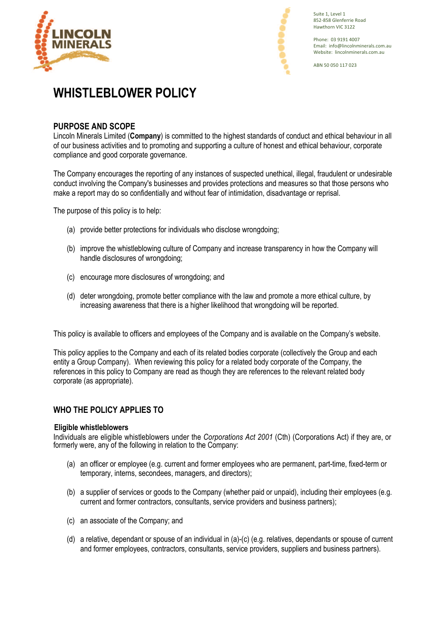



Suite 1, Level 1 852-858 Glenferrie Road Hawthorn VIC 3122

Phone: 03 9191 4007 Email: info@lincolnminerals.com.au Website: lincolnminerals.com.au

ABN 50 050 117 023

# **WHISTLEBLOWER POLICY**

# **PURPOSE AND SCOPE**

Lincoln Minerals Limited (**Company**) is committed to the highest standards of conduct and ethical behaviour in all of our business activities and to promoting and supporting a culture of honest and ethical behaviour, corporate compliance and good corporate governance.

The Company encourages the reporting of any instances of suspected unethical, illegal, fraudulent or undesirable conduct involving the Company's businesses and provides protections and measures so that those persons who make a report may do so confidentially and without fear of intimidation, disadvantage or reprisal.

The purpose of this policy is to help:

- (a) provide better protections for individuals who disclose wrongdoing;
- (b) improve the whistleblowing culture of Company and increase transparency in how the Company will handle disclosures of wrongdoing;
- (c) encourage more disclosures of wrongdoing; and
- (d) deter wrongdoing, promote better compliance with the law and promote a more ethical culture, by increasing awareness that there is a higher likelihood that wrongdoing will be reported.

This policy is available to officers and employees of the Company and is available on the Company's website.

This policy applies to the Company and each of its related bodies corporate (collectively the Group and each entity a Group Company). When reviewing this policy for a related body corporate of the Company, the references in this policy to Company are read as though they are references to the relevant related body corporate (as appropriate).

# **WHO THE POLICY APPLIES TO**

### **Eligible whistleblowers**

Individuals are eligible whistleblowers under the *Corporations Act 2001* (Cth) (Corporations Act) if they are, or formerly were, any of the following in relation to the Company:

- (a) an officer or employee (e.g. current and former employees who are permanent, part-time, fixed-term or temporary, interns, secondees, managers, and directors);
- (b) a supplier of services or goods to the Company (whether paid or unpaid), including their employees (e.g. current and former contractors, consultants, service providers and business partners);
- (c) an associate of the Company; and
- (d) a relative, dependant or spouse of an individual in (a)-(c) (e.g. relatives, dependants or spouse of current and former employees, contractors, consultants, service providers, suppliers and business partners).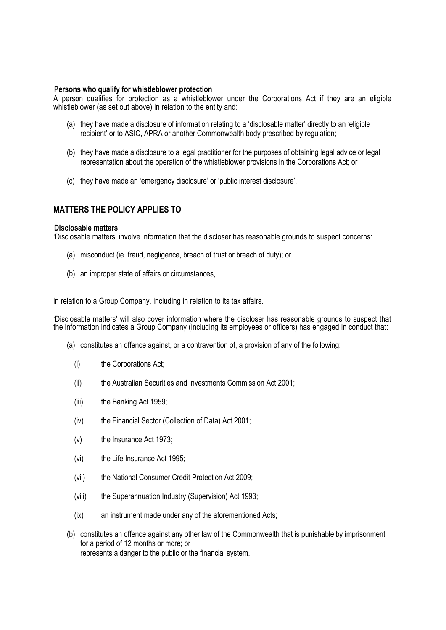#### **Persons who qualify for whistleblower protection**

A person qualifies for protection as a whistleblower under the Corporations Act if they are an eligible whistleblower (as set out above) in relation to the entity and:

- (a) they have made a disclosure of information relating to a 'disclosable matter' directly to an 'eligible recipient' or to ASIC, APRA or another Commonwealth body prescribed by regulation;
- (b) they have made a disclosure to a legal practitioner for the purposes of obtaining legal advice or legal representation about the operation of the whistleblower provisions in the Corporations Act; or
- (c) they have made an 'emergency disclosure' or 'public interest disclosure'.

## **MATTERS THE POLICY APPLIES TO**

#### **Disclosable matters**

'Disclosable matters' involve information that the discloser has reasonable grounds to suspect concerns:

- (a) misconduct (ie. fraud, negligence, breach of trust or breach of duty); or
- (b) an improper state of affairs or circumstances,

in relation to a Group Company, including in relation to its tax affairs.

'Disclosable matters' will also cover information where the discloser has reasonable grounds to suspect that the information indicates a Group Company (including its employees or officers) has engaged in conduct that:

- (a) constitutes an offence against, or a contravention of, a provision of any of the following:
	- (i) the Corporations Act;
	- (ii) the Australian Securities and Investments Commission Act 2001;
	- (iii) the Banking Act 1959;
	- (iv) the Financial Sector (Collection of Data) Act 2001;
	- (v) the Insurance Act 1973;
	- (vi) the Life Insurance Act 1995;
	- (vii) the National Consumer Credit Protection Act 2009;
	- (viii) the Superannuation Industry (Supervision) Act 1993;
	- (ix) an instrument made under any of the aforementioned Acts;
- (b) constitutes an offence against any other law of the Commonwealth that is punishable by imprisonment for a period of 12 months or more; or represents a danger to the public or the financial system.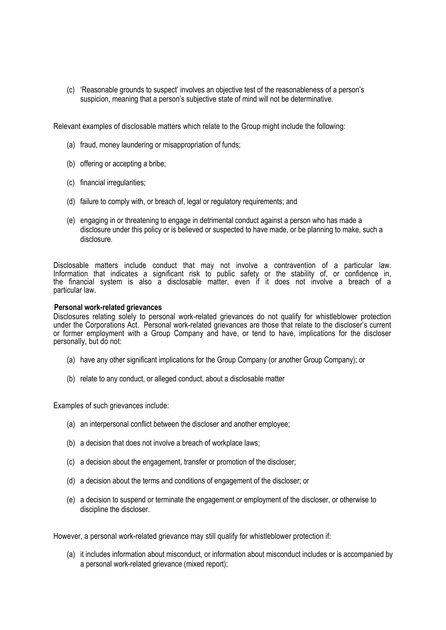(c) 'Reasonable grounds to suspect' involves an objective test of the reasonableness of a person's suspicion, meaning that a person's subjective state of mind will not be determinative.

Relevant examples of disclosable matters which relate to the Group might include the following:

- (a) fraud, money laundering or misappropriation of funds;
- (b) offering or accepting a bribe;
- (c) financial irregularities;
- (d) failure to comply with, or breach of, legal or regulatory requirements; and
- (e) engaging in or threatening to engage in detrimental conduct against a person who has made a disclosure under this policy or is believed or suspected to have made, or be planning to make, such a disclosure.

Disclosable matters include conduct that may not involve a contravention of a particular law. Information that indicates a significant risk to public safety or the stability of, or confidence in, the financial system is also a disclosable matter, even if it does not involve a breach of a particular law.

#### **Personal work-related grievances**

Disclosures relating solely to personal work-related grievances do not qualify for whistleblower protection under the Corporations Act. Personal work-related grievances are those that relate to the discloser's current or former employment with a Group Company and have, or tend to have, implications for the discloser personally, but do not:

- (a) have any other significant implications for the Group Company (or another Group Company); or
- (b) relate to any conduct, or alleged conduct, about a disclosable matter

Examples of such grievances include:

- (a) an interpersonal conflict between the discloser and another employee;
- (b) a decision that does not involve a breach of workplace laws;
- (c) a decision about the engagement, transfer or promotion of the discloser;
- (d) a decision about the terms and conditions of engagement of the discloser; or
- (e) a decision to suspend or terminate the engagement or employment of the discloser, or otherwise to discipline the discloser.

However, a personal work-related grievance may still qualify for whistleblower protection if:

(a) it includes information about misconduct, or information about misconduct includes or is accompanied by a personal work-related grievance (mixed report);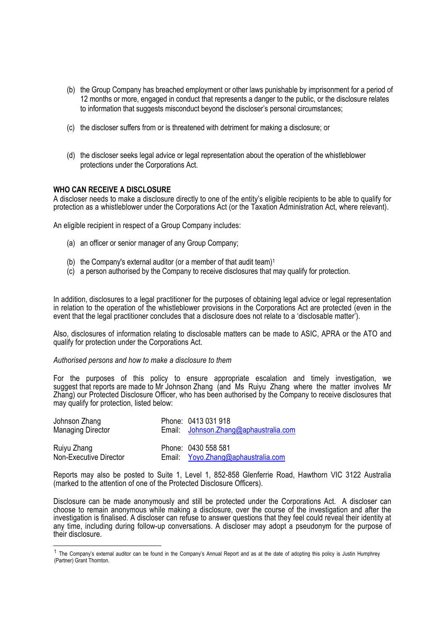- (b) the Group Company has breached employment or other laws punishable by imprisonment for a period of 12 months or more, engaged in conduct that represents a danger to the public, or the disclosure relates to information that suggests misconduct beyond the discloser's personal circumstances;
- (c) the discloser suffers from or is threatened with detriment for making a disclosure; or
- (d) the discloser seeks legal advice or legal representation about the operation of the whistleblower protections under the Corporations Act.

#### **WHO CAN RECEIVE A DISCLOSURE**

A discloser needs to make a disclosure directly to one of the entity's eligible recipients to be able to qualify for protection as a whistleblower under the Corporations Act (or the Taxation Administration Act, where relevant).

An eligible recipient in respect of a Group Company includes:

- (a) an officer or senior manager of any Group Company;
- (b) the Company's external auditor (or a member of that audit team)<sup>1</sup>
- (c) a person authorised by the Company to receive disclosures that may qualify for protection.

In addition, disclosures to a legal practitioner for the purposes of obtaining legal advice or legal representation in relation to the operation of the whistleblower provisions in the Corporations Act are protected (even in the event that the legal practitioner concludes that a disclosure does not relate to a 'disclosable matter').

Also, disclosures of information relating to disclosable matters can be made to ASIC, APRA or the ATO and qualify for protection under the Corporations Act.

#### *Authorised persons and how to make a disclosure to them*

For the purposes of this policy to ensure appropriate escalation and timely investigation, we suggest that reports are made to Mr Johnson Zhang (and Ms Ruiyu Zhang where the matter involves Mr Zhang) our Protected Disclosure Officer, who has been authorised by the Company to receive disclosures that may qualify for protection, listed below:

| Johnson Zhang<br><b>Managing Director</b> | Phone: 0413 031 918<br>Email: Johnson.Zhang@aphaustralia.com     |
|-------------------------------------------|------------------------------------------------------------------|
| Ruiyu Zhang<br>Non-Executive Director     | Phone: 0430 558 581<br>Email: <i>Yoyo.Zhang@aphaustralia.com</i> |

Reports may also be posted to Suite 1, Level 1, 852-858 Glenferrie Road, Hawthorn VIC 3122 Australia (marked to the attention of one of the Protected Disclosure Officers).

Disclosure can be made anonymously and still be protected under the Corporations Act. A discloser can choose to remain anonymous while making a disclosure, over the course of the investigation and after the investigation is finalised. A discloser can refuse to answer questions that they feel could reveal their identity at any time, including during follow-up conversations. A discloser may adopt a pseudonym for the purpose of their disclosure.

 $1$  The Company's external auditor can be found in the Company's Annual Report and as at the date of adopting this policy is Justin Humphrey (Partner) Grant Thornton.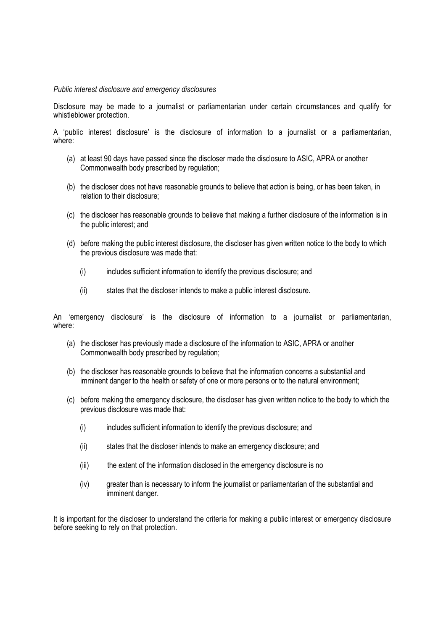#### *Public interest disclosure and emergency disclosures*

Disclosure may be made to a journalist or parliamentarian under certain circumstances and qualify for whistleblower protection.

A 'public interest disclosure' is the disclosure of information to a journalist or a parliamentarian, where:

- (a) at least 90 days have passed since the discloser made the disclosure to ASIC, APRA or another Commonwealth body prescribed by regulation;
- (b) the discloser does not have reasonable grounds to believe that action is being, or has been taken, in relation to their disclosure;
- (c) the discloser has reasonable grounds to believe that making a further disclosure of the information is in the public interest; and
- (d) before making the public interest disclosure, the discloser has given written notice to the body to which the previous disclosure was made that:
	- (i) includes sufficient information to identify the previous disclosure; and
	- (ii) states that the discloser intends to make a public interest disclosure.

An 'emergency disclosure' is the disclosure of information to a journalist or parliamentarian, where:

- (a) the discloser has previously made a disclosure of the information to ASIC, APRA or another Commonwealth body prescribed by regulation;
- (b) the discloser has reasonable grounds to believe that the information concerns a substantial and imminent danger to the health or safety of one or more persons or to the natural environment;
- (c) before making the emergency disclosure, the discloser has given written notice to the body to which the previous disclosure was made that:
	- (i) includes sufficient information to identify the previous disclosure; and
	- (ii) states that the discloser intends to make an emergency disclosure; and
	- (iii) the extent of the information disclosed in the emergency disclosure is no
	- (iv) greater than is necessary to inform the journalist or parliamentarian of the substantial and imminent danger.

It is important for the discloser to understand the criteria for making a public interest or emergency disclosure before seeking to rely on that protection.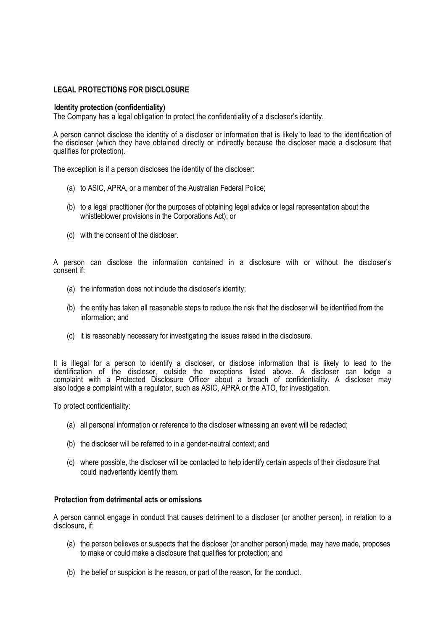#### **LEGAL PROTECTIONS FOR DISCLOSURE**

#### **Identity protection (confidentiality)**

The Company has a legal obligation to protect the confidentiality of a discloser's identity.

A person cannot disclose the identity of a discloser or information that is likely to lead to the identification of the discloser (which they have obtained directly or indirectly because the discloser made a disclosure that qualifies for protection).

The exception is if a person discloses the identity of the discloser:

- (a) to ASIC, APRA, or a member of the Australian Federal Police;
- (b) to a legal practitioner (for the purposes of obtaining legal advice or legal representation about the whistleblower provisions in the Corporations Act); or
- (c) with the consent of the discloser.

A person can disclose the information contained in a disclosure with or without the discloser's consent if:

- (a) the information does not include the discloser's identity;
- (b) the entity has taken all reasonable steps to reduce the risk that the discloser will be identified from the information; and
- (c) it is reasonably necessary for investigating the issues raised in the disclosure.

It is illegal for a person to identify a discloser, or disclose information that is likely to lead to the identification of the discloser, outside the exceptions listed above. A discloser can lodge a complaint with a Protected Disclosure Officer about a breach of confidentiality. A discloser may also lodge a complaint with a regulator, such as ASIC, APRA or the ATO, for investigation.

To protect confidentiality:

- (a) all personal information or reference to the discloser witnessing an event will be redacted;
- (b) the discloser will be referred to in a gender-neutral context; and
- (c) where possible, the discloser will be contacted to help identify certain aspects of their disclosure that could inadvertently identify them.

#### **Protection from detrimental acts or omissions**

A person cannot engage in conduct that causes detriment to a discloser (or another person), in relation to a disclosure, if:

- (a) the person believes or suspects that the discloser (or another person) made, may have made, proposes to make or could make a disclosure that qualifies for protection; and
- (b) the belief or suspicion is the reason, or part of the reason, for the conduct.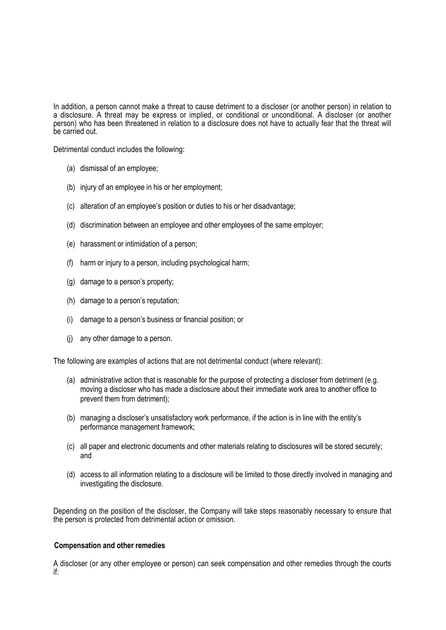In addition, a person cannot make a threat to cause detriment to a discloser (or another person) in relation to a disclosure. A threat may be express or implied, or conditional or unconditional. A discloser (or another person) who has been threatened in relation to a disclosure does not have to actually fear that the threat will be carried out.

Detrimental conduct includes the following:

- (a) dismissal of an employee;
- (b) injury of an employee in his or her employment;
- (c) alteration of an employee's position or duties to his or her disadvantage;
- (d) discrimination between an employee and other employees of the same employer;
- (e) harassment or intimidation of a person;
- (f) harm or injury to a person, including psychological harm;
- (g) damage to a person's property;
- (h) damage to a person's reputation;
- (i) damage to a person's business or financial position; or
- (j) any other damage to a person.

The following are examples of actions that are not detrimental conduct (where relevant):

- (a) administrative action that is reasonable for the purpose of protecting a discloser from detriment (e.g. moving a discloser who has made a disclosure about their immediate work area to another office to prevent them from detriment);
- (b) managing a discloser's unsatisfactory work performance, if the action is in line with the entity's performance management framework;
- (c) all paper and electronic documents and other materials relating to disclosures will be stored securely; and
- (d) access to all information relating to a disclosure will be limited to those directly involved in managing and investigating the disclosure.

Depending on the position of the discloser, the Company will take steps reasonably necessary to ensure that the person is protected from detrimental action or omission.

#### **Compensation and other remedies**

A discloser (or any other employee or person) can seek compensation and other remedies through the courts if: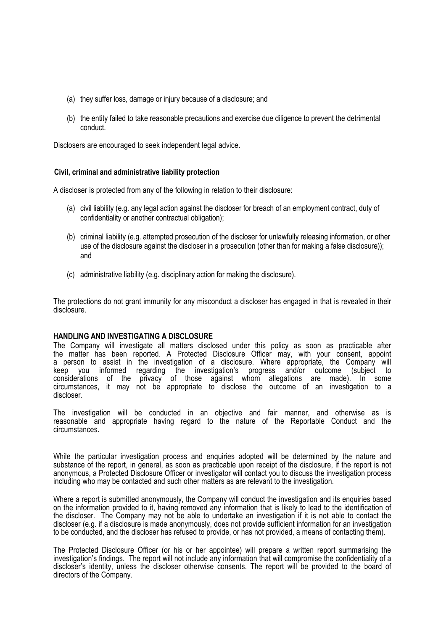- (a) they suffer loss, damage or injury because of a disclosure; and
- (b) the entity failed to take reasonable precautions and exercise due diligence to prevent the detrimental conduct.

Disclosers are encouraged to seek independent legal advice.

#### **Civil, criminal and administrative liability protection**

A discloser is protected from any of the following in relation to their disclosure:

- (a) civil liability (e.g. any legal action against the discloser for breach of an employment contract, duty of confidentiality or another contractual obligation);
- (b) criminal liability (e.g. attempted prosecution of the discloser for unlawfully releasing information, or other use of the disclosure against the discloser in a prosecution (other than for making a false disclosure)); and
- (c) administrative liability (e.g. disciplinary action for making the disclosure).

The protections do not grant immunity for any misconduct a discloser has engaged in that is revealed in their disclosure.

#### **HANDLING AND INVESTIGATING A DISCLOSURE**

The Company will investigate all matters disclosed under this policy as soon as practicable after the matter has been reported. A Protected Disclosure Officer may, with your consent, appoint a person to assist in the investigation of a disclosure. Where appropriate, the Company will<br>keep you informed regarding the investigation's progress and/or outcome (subiect to keep you informed regarding the investigation's progress and/or outcome (subject to considerations of the privacy of those against whom allegations are made). In some circumstances, it may not be appropriate to disclose the outcome of an investigation to a discloser.

The investigation will be conducted in an objective and fair manner, and otherwise as is reasonable and appropriate having regard to the nature of the Reportable Conduct and the circumstances.

While the particular investigation process and enquiries adopted will be determined by the nature and substance of the report, in general, as soon as practicable upon receipt of the disclosure, if the report is not anonymous, a Protected Disclosure Officer or investigator will contact you to discuss the investigation process including who may be contacted and such other matters as are relevant to the investigation.

Where a report is submitted anonymously, the Company will conduct the investigation and its enquiries based on the information provided to it, having removed any information that is likely to lead to the identification of the discloser. The Company may not be able to undertake an investigation if it is not able to contact the discloser (e.g. if a disclosure is made anonymously, does not provide sufficient information for an investigation to be conducted, and the discloser has refused to provide, or has not provided, a means of contacting them).

The Protected Disclosure Officer (or his or her appointee) will prepare a written report summarising the investigation's findings. The report will not include any information that will compromise the confidentiality of a discloser's identity, unless the discloser otherwise consents. The report will be provided to the board of directors of the Company.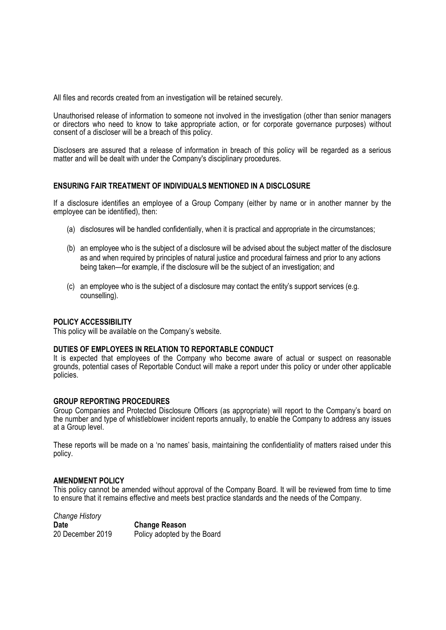All files and records created from an investigation will be retained securely.

Unauthorised release of information to someone not involved in the investigation (other than senior managers or directors who need to know to take appropriate action, or for corporate governance purposes) without consent of a discloser will be a breach of this policy.

Disclosers are assured that a release of information in breach of this policy will be regarded as a serious matter and will be dealt with under the Company's disciplinary procedures.

#### **ENSURING FAIR TREATMENT OF INDIVIDUALS MENTIONED IN A DISCLOSURE**

If a disclosure identifies an employee of a Group Company (either by name or in another manner by the employee can be identified), then:

- (a) disclosures will be handled confidentially, when it is practical and appropriate in the circumstances;
- (b) an employee who is the subject of a disclosure will be advised about the subject matter of the disclosure as and when required by principles of natural justice and procedural fairness and prior to any actions being taken—for example, if the disclosure will be the subject of an investigation; and
- (c) an employee who is the subject of a disclosure may contact the entity's support services (e.g. counselling).

#### **POLICY ACCESSIBILITY**

This policy will be available on the Company's website.

#### **DUTIES OF EMPLOYEES IN RELATION TO REPORTABLE CONDUCT**

It is expected that employees of the Company who become aware of actual or suspect on reasonable grounds, potential cases of Reportable Conduct will make a report under this policy or under other applicable policies.

#### **GROUP REPORTING PROCEDURES**

Group Companies and Protected Disclosure Officers (as appropriate) will report to the Company's board on the number and type of whistleblower incident reports annually, to enable the Company to address any issues at a Group level.

These reports will be made on a 'no names' basis, maintaining the confidentiality of matters raised under this policy.

#### **AMENDMENT POLICY**

This policy cannot be amended without approval of the Company Board. It will be reviewed from time to time to ensure that it remains effective and meets best practice standards and the needs of the Company.

*Change History*  **Date Change Reason** 20 December 2019 Policy adopted by the Board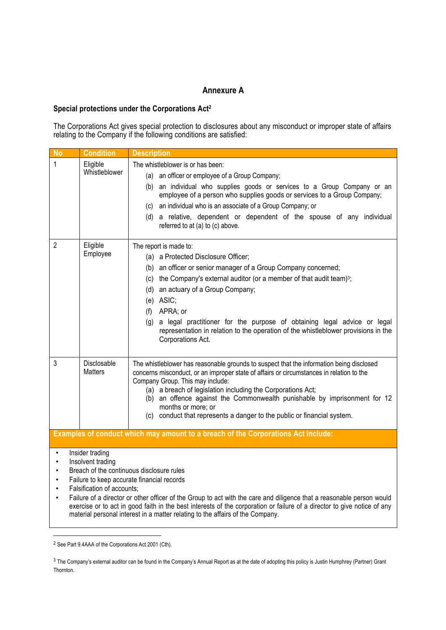# **Annexure A**

#### **Special protections under the Corporations Act2**

The Corporations Act gives special protection to disclosures about any misconduct or improper state of affairs relating to the Company if the following conditions are satisfied:

| <b>No</b>                                                                                                                                                                                                                                                                                                                                                                                                                                                                                                                                                                          | <b>Condition</b>                                                                                                 | <b>Description</b>                                                                                                                                                                                                                                                                                                                                                                                                                                                                 |
|------------------------------------------------------------------------------------------------------------------------------------------------------------------------------------------------------------------------------------------------------------------------------------------------------------------------------------------------------------------------------------------------------------------------------------------------------------------------------------------------------------------------------------------------------------------------------------|------------------------------------------------------------------------------------------------------------------|------------------------------------------------------------------------------------------------------------------------------------------------------------------------------------------------------------------------------------------------------------------------------------------------------------------------------------------------------------------------------------------------------------------------------------------------------------------------------------|
| 1                                                                                                                                                                                                                                                                                                                                                                                                                                                                                                                                                                                  | Eligible<br>The whistleblower is or has been:<br>Whistleblower<br>(a) an officer or employee of a Group Company; |                                                                                                                                                                                                                                                                                                                                                                                                                                                                                    |
|                                                                                                                                                                                                                                                                                                                                                                                                                                                                                                                                                                                    |                                                                                                                  | (b) an individual who supplies goods or services to a Group Company or an<br>employee of a person who supplies goods or services to a Group Company;<br>(c) an individual who is an associate of a Group Company; or<br>(d) a relative, dependent or dependent of the spouse of any individual<br>referred to at (a) to (c) above.                                                                                                                                                 |
| $\overline{2}$                                                                                                                                                                                                                                                                                                                                                                                                                                                                                                                                                                     | Eligible<br>Employee                                                                                             | The report is made to:<br>(a) a Protected Disclosure Officer;<br>(b) an officer or senior manager of a Group Company concerned;<br>(c) the Company's external auditor (or a member of that audit team) <sup>3</sup> ;<br>(d) an actuary of a Group Company;<br>(e) ASIC;<br>(f) APRA; or<br>(g) a legal practitioner for the purpose of obtaining legal advice or legal<br>representation in relation to the operation of the whistleblower provisions in the<br>Corporations Act. |
| 3                                                                                                                                                                                                                                                                                                                                                                                                                                                                                                                                                                                  | Disclosable<br><b>Matters</b>                                                                                    | The whistleblower has reasonable grounds to suspect that the information being disclosed<br>concerns misconduct, or an improper state of affairs or circumstances in relation to the<br>Company Group. This may include:<br>(a) a breach of legislation including the Corporations Act;<br>(b) an offence against the Commonwealth punishable by imprisonment for 12<br>months or more; or<br>(c) conduct that represents a danger to the public or financial system.              |
|                                                                                                                                                                                                                                                                                                                                                                                                                                                                                                                                                                                    |                                                                                                                  | Examples of conduct which may amount to a breach of the Corporations Act include:                                                                                                                                                                                                                                                                                                                                                                                                  |
| Insider trading<br>$\bullet$<br>Insolvent trading<br>$\bullet$<br>Breach of the continuous disclosure rules<br>$\bullet$<br>Failure to keep accurate financial records<br>$\bullet$<br>Falsification of accounts;<br>$\bullet$<br>Failure of a director or other officer of the Group to act with the care and diligence that a reasonable person would<br>$\bullet$<br>exercise or to act in good faith in the best interests of the corporation or failure of a director to give notice of any<br>material personal interest in a matter relating to the affairs of the Company. |                                                                                                                  |                                                                                                                                                                                                                                                                                                                                                                                                                                                                                    |

<sup>2</sup> See Part 9.4AAA of the Corporations Act 2001 (Cth).

<sup>&</sup>lt;sup>3</sup> The Company's external auditor can be found in the Company's Annual Report as at the date of adopting this policy is Justin Humphrey (Partner) Grant Thornton.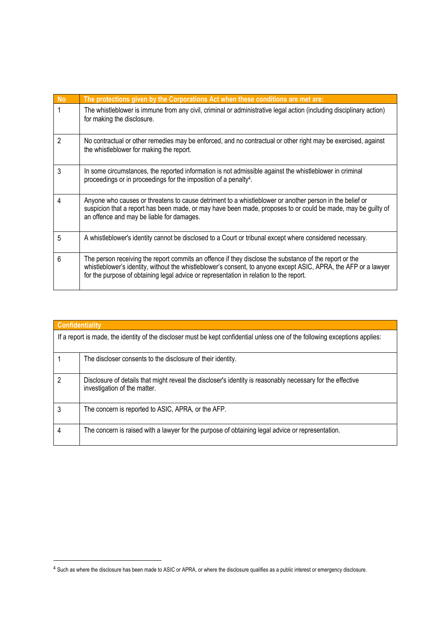| <b>No</b> | The protections given by the Corporations Act when these conditions are met are:                                                                                                                                                                                                                                    |
|-----------|---------------------------------------------------------------------------------------------------------------------------------------------------------------------------------------------------------------------------------------------------------------------------------------------------------------------|
|           | The whistleblower is immune from any civil, criminal or administrative legal action (including disciplinary action)<br>for making the disclosure.                                                                                                                                                                   |
| 2         | No contractual or other remedies may be enforced, and no contractual or other right may be exercised, against<br>the whistleblower for making the report.                                                                                                                                                           |
| 3         | In some circumstances, the reported information is not admissible against the whistleblower in criminal<br>proceedings or in proceedings for the imposition of a penalty <sup>4</sup> .                                                                                                                             |
| 4         | Anyone who causes or threatens to cause detriment to a whistleblower or another person in the belief or<br>suspicion that a report has been made, or may have been made, proposes to or could be made, may be guilty of<br>an offence and may be liable for damages.                                                |
| 5         | A whistleblower's identity cannot be disclosed to a Court or tribunal except where considered necessary.                                                                                                                                                                                                            |
| 6         | The person receiving the report commits an offence if they disclose the substance of the report or the<br>whistleblower's identity, without the whistleblower's consent, to anyone except ASIC, APRA, the AFP or a lawyer<br>for the purpose of obtaining legal advice or representation in relation to the report. |

| <b>Confidentiality</b>                                                                                                       |                                                                                                                                            |  |
|------------------------------------------------------------------------------------------------------------------------------|--------------------------------------------------------------------------------------------------------------------------------------------|--|
| If a report is made, the identity of the discloser must be kept confidential unless one of the following exceptions applies: |                                                                                                                                            |  |
|                                                                                                                              | The discloser consents to the disclosure of their identity.                                                                                |  |
| 2                                                                                                                            | Disclosure of details that might reveal the discloser's identity is reasonably necessary for the effective<br>investigation of the matter. |  |
| 3                                                                                                                            | The concern is reported to ASIC, APRA, or the AFP.                                                                                         |  |
|                                                                                                                              | The concern is raised with a lawyer for the purpose of obtaining legal advice or representation.                                           |  |

<sup>4</sup> Such as where the disclosure has been made to ASIC or APRA, or where the disclosure qualifies as a public interest or emergency disclosure.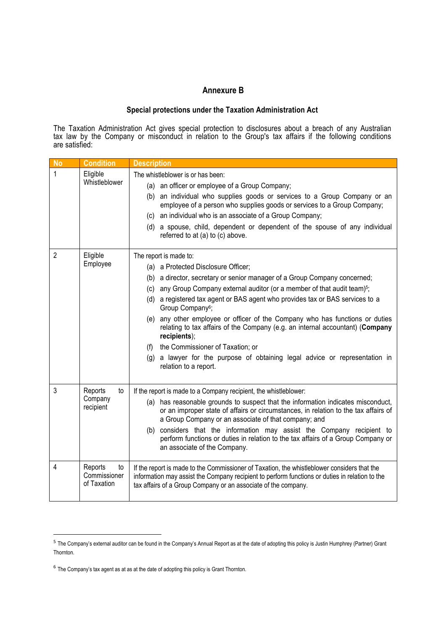# **Annexure B**

#### **Special protections under the Taxation Administration Act**

The Taxation Administration Act gives special protection to disclosures about a breach of any Australian tax law by the Company or misconduct in relation to the Group's tax affairs if the following conditions are satisfied:

| <b>No</b>      | <b>Condition</b>                             | <b>Description</b>                                                                                                                                                                                                                                                                                                                                                                                                                                                                                                                                                                                                                                                                           |
|----------------|----------------------------------------------|----------------------------------------------------------------------------------------------------------------------------------------------------------------------------------------------------------------------------------------------------------------------------------------------------------------------------------------------------------------------------------------------------------------------------------------------------------------------------------------------------------------------------------------------------------------------------------------------------------------------------------------------------------------------------------------------|
| 1              | Eligible<br>Whistleblower                    | The whistleblower is or has been:<br>(a) an officer or employee of a Group Company;<br>(b) an individual who supplies goods or services to a Group Company or an<br>employee of a person who supplies goods or services to a Group Company;<br>(c) an individual who is an associate of a Group Company;<br>(d) a spouse, child, dependent or dependent of the spouse of any individual<br>referred to at (a) to (c) above.                                                                                                                                                                                                                                                                  |
| $\overline{2}$ | Eligible<br>Employee                         | The report is made to:<br>(a) a Protected Disclosure Officer;<br>(b) a director, secretary or senior manager of a Group Company concerned;<br>any Group Company external auditor (or a member of that audit team) <sup>5</sup> ;<br>(c)<br>(d) a registered tax agent or BAS agent who provides tax or BAS services to a<br>Group Company <sup>6</sup> ;<br>(e) any other employee or officer of the Company who has functions or duties<br>relating to tax affairs of the Company (e.g. an internal accountant) (Company<br>recipients);<br>the Commissioner of Taxation; or<br>(f)<br>(g) a lawyer for the purpose of obtaining legal advice or representation in<br>relation to a report. |
| 3              | Reports<br>to<br>Company<br>recipient        | If the report is made to a Company recipient, the whistleblower:<br>(a) has reasonable grounds to suspect that the information indicates misconduct,<br>or an improper state of affairs or circumstances, in relation to the tax affairs of<br>a Group Company or an associate of that company; and<br>considers that the information may assist the Company recipient to<br>(b)<br>perform functions or duties in relation to the tax affairs of a Group Company or<br>an associate of the Company.                                                                                                                                                                                         |
| 4              | Reports<br>to<br>Commissioner<br>of Taxation | If the report is made to the Commissioner of Taxation, the whistleblower considers that the<br>information may assist the Company recipient to perform functions or duties in relation to the<br>tax affairs of a Group Company or an associate of the company.                                                                                                                                                                                                                                                                                                                                                                                                                              |

<sup>&</sup>lt;sup>5</sup> The Company's external auditor can be found in the Company's Annual Report as at the date of adopting this policy is Justin Humphrey (Partner) Grant Thornton.

<sup>6</sup> The Company's tax agent as at as at the date of adopting this policy is Grant Thornton.